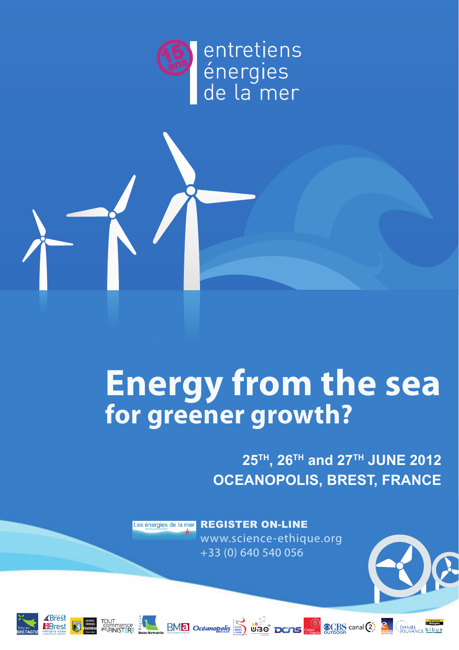



**25TH, 26TH and 27TH JUNE 2012 OCEANOPOLIS, BREST, FRANCE**

Les énergies de la mer REGISTER ON-LINE www.science-ethique.org +33 (0) 640 540 056